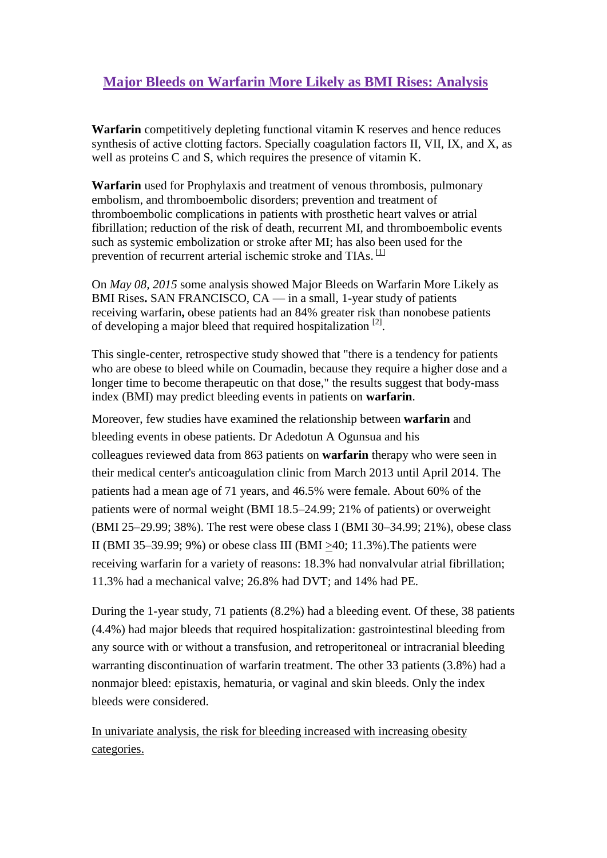## **Major Bleeds on Warfarin More Likely as BMI Rises: Analysis**

**Warfarin** competitively depleting functional vitamin K reserves and hence reduces synthesis of active clotting factors. Specially coagulation factors II, VII, IX, and X, as well as proteins C and S, which requires the presence of vitamin K.

**Warfarin** used for Prophylaxis and treatment of venous thrombosis, pulmonary embolism, and thromboembolic disorders; prevention and treatment of thromboembolic complications in patients with prosthetic heart valves or atrial fibrillation; reduction of the risk of death, recurrent MI, and thromboembolic events such as systemic embolization or stroke after MI; has also been used for the prevention of recurrent arterial ischemic stroke and TIAs.<sup>[\[1\]](javascript:newshowcontent()</sup>

On *May 08, 2015* some analysis showed Major Bleeds on Warfarin More Likely as BMI Rises**.** SAN FRANCISCO, CA — in a small, 1-year study of patients receiving warfarin**,** obese patients had an 84% greater risk than nonobese patients of developing a major bleed that required hospitalization<sup>[\[2\]](javascript:newshowcontent()</sup>.

This single-center, retrospective study showed that "there is a tendency for patients who are obese to bleed while on Coumadin, because they require a higher dose and a longer time to become therapeutic on that dose," the results suggest that body-mass index (BMI) may predict bleeding events in patients on **warfarin**.

Moreover, few studies have examined the relationship between **warfarin** and bleeding events in obese patients. Dr Adedotun A Ogunsua and his colleagues reviewed data from 863 patients on **warfarin** therapy who were seen in their medical center's anticoagulation clinic from March 2013 until April 2014. The patients had a mean age of 71 years, and 46.5% were female. About 60% of the patients were of normal weight (BMI 18.5–24.99; 21% of patients) or overweight (BMI 25–29.99; 38%). The rest were obese class I (BMI 30–34.99; 21%), obese class II (BMI 35–39.99; 9%) or obese class III (BMI >40; 11.3%).The patients were receiving warfarin for a variety of reasons: 18.3% had nonvalvular atrial fibrillation; 11.3% had a mechanical valve; 26.8% had DVT; and 14% had PE.

During the 1-year study, 71 patients (8.2%) had a bleeding event. Of these, 38 patients (4.4%) had major bleeds that required hospitalization: gastrointestinal bleeding from any source with or without a transfusion, and retroperitoneal or intracranial bleeding warranting discontinuation of warfarin treatment. The other 33 patients (3.8%) had a nonmajor bleed: epistaxis, hematuria, or vaginal and skin bleeds. Only the index bleeds were considered.

In univariate analysis, the risk for bleeding increased with increasing obesity categories.